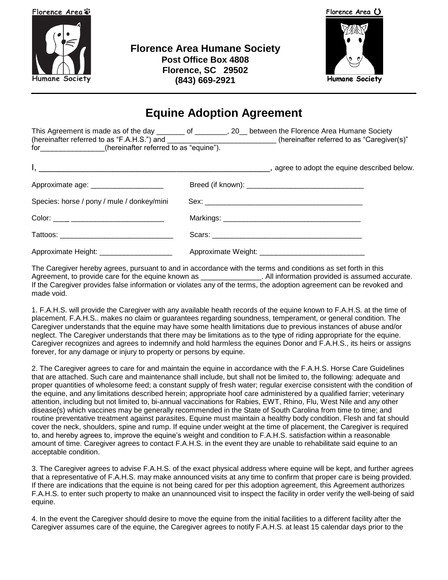

**Florence Area Humane Society Post Office Box 4808 Florence, SC 29502 (843) 669-2921**



Florence Area ()

**Humane Society** 

# **Equine Adoption Agreement**

This Agreement is made as of the day \_\_\_\_\_\_\_ of \_\_\_\_\_\_\_, 20\_ between the Florence Area Humane Society (hereinafter referred to as "F.A.H.S.") and \_\_\_\_\_\_\_\_\_\_\_\_\_\_\_\_\_\_\_\_\_\_\_\_\_\_\_ (hereinafter referred to as "Caregiver(s)" for\_\_\_\_\_\_\_\_\_\_\_\_\_\_\_\_(hereinafter referred to as "equine").

| Approximate age: _____________________     |  |
|--------------------------------------------|--|
| Species: horse / pony / mule / donkey/mini |  |
|                                            |  |
|                                            |  |
| Approximate Height: _____________________  |  |

The Caregiver hereby agrees, pursuant to and in accordance with the terms and conditions as set forth in this Agreement, to provide care for the equine known as \_\_\_\_\_\_\_\_\_\_\_\_\_\_\_\_\_. All information provided is assumed accurate. If the Caregiver provides false information or violates any of the terms, the adoption agreement can be revoked and made void.

1. F.A.H.S. will provide the Caregiver with any available health records of the equine known to F.A.H.S. at the time of placement. F.A.H.S.. makes no claim or guarantees regarding soundness, temperament, or general condition. The Caregiver understands that the equine may have some health limitations due to previous instances of abuse and/or neglect. The Caregiver understands that there may be limitations as to the type of riding appropriate for the equine. Caregiver recognizes and agrees to indemnify and hold harmless the equines Donor and F.A.H.S., its heirs or assigns forever, for any damage or injury to property or persons by equine.

2. The Caregiver agrees to care for and maintain the equine in accordance with the F.A.H.S. Horse Care Guidelines that are attached. Such care and maintenance shall include, but shall not be limited to, the following: adequate and proper quantities of wholesome feed; a constant supply of fresh water; regular exercise consistent with the condition of the equine, and any limitations described herein; appropriate hoof care administered by a qualified farrier; veterinary attention, including but not limited to, bi-annual vaccinations for Rabies, EWT, Rhino, Flu, West Nile and any other disease(s) which vaccines may be generally recommended in the State of South Carolina from time to time; and routine preventative treatment against parasites. Equine must maintain a healthy body condition. Flesh and fat should cover the neck, shoulders, spine and rump. If equine under weight at the time of placement, the Caregiver is required to, and hereby agrees to, improve the equine's weight and condition to F.A.H.S. satisfaction within a reasonable amount of time. Caregiver agrees to contact F.A.H.S. in the event they are unable to rehabilitate said equine to an acceptable condition.

3. The Caregiver agrees to advise F.A.H.S. of the exact physical address where equine will be kept, and further agrees that a representative of F.A.H.S. may make announced visits at any time to confirm that proper care is being provided. If there are indications that the equine is not being cared for per this adoption agreement, this Agreement authorizes F.A.H.S. to enter such property to make an unannounced visit to inspect the facility in order verify the well-being of said equine.

4. In the event the Caregiver should desire to move the equine from the initial facilities to a different facility after the Caregiver assumes care of the equine, the Caregiver agrees to notify F.A.H.S. at least 15 calendar days prior to the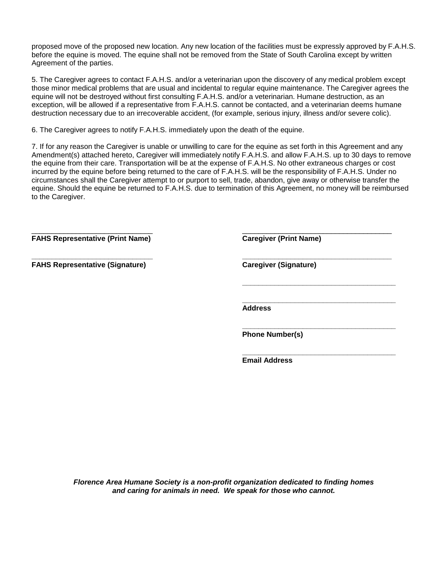proposed move of the proposed new location. Any new location of the facilities must be expressly approved by F.A.H.S. before the equine is moved. The equine shall not be removed from the State of South Carolina except by written Agreement of the parties.

5. The Caregiver agrees to contact F.A.H.S. and/or a veterinarian upon the discovery of any medical problem except those minor medical problems that are usual and incidental to regular equine maintenance. The Caregiver agrees the equine will not be destroyed without first consulting F.A.H.S. and/or a veterinarian. Humane destruction, as an exception, will be allowed if a representative from F.A.H.S. cannot be contacted, and a veterinarian deems humane destruction necessary due to an irrecoverable accident, (for example, serious injury, illness and/or severe colic).

6. The Caregiver agrees to notify F.A.H.S. immediately upon the death of the equine.

7. If for any reason the Caregiver is unable or unwilling to care for the equine as set forth in this Agreement and any Amendment(s) attached hereto, Caregiver will immediately notify F.A.H.S. and allow F.A.H.S. up to 30 days to remove the equine from their care. Transportation will be at the expense of F.A.H.S. No other extraneous charges or cost incurred by the equine before being returned to the care of F.A.H.S. will be the responsibility of F.A.H.S. Under no circumstances shall the Caregiver attempt to or purport to sell, trade, abandon, give away or otherwise transfer the equine. Should the equine be returned to F.A.H.S. due to termination of this Agreement, no money will be reimbursed to the Caregiver.

 $\frac{1}{2}$  , the contribution of the contribution of the contribution of the contribution of the contribution of the contribution of the contribution of the contribution of the contribution of the contribution of the contr

**\_\_\_\_\_\_\_\_\_\_\_\_\_\_\_\_\_\_\_\_\_\_\_\_\_\_\_\_\_\_ \_\_\_\_\_\_\_\_\_\_\_\_\_\_\_\_\_\_\_\_\_\_\_\_\_\_\_\_\_\_\_\_\_\_\_\_\_**

**FAHS Representative (Print Name) Caregiver (Print Name)**

**FAHS Representative (Signature) Caregiver (Signature)**

**\_\_\_\_\_\_\_\_\_\_\_\_\_\_\_\_\_\_\_\_\_\_\_\_\_\_\_\_\_\_\_\_\_\_\_\_\_\_**

**\_\_\_\_\_\_\_\_\_\_\_\_\_\_\_\_\_\_\_\_\_\_\_\_\_\_\_\_\_\_\_\_\_\_\_\_\_\_**

**\_\_\_\_\_\_\_\_\_\_\_\_\_\_\_\_\_\_\_\_\_\_\_\_\_\_\_\_\_\_\_\_\_\_\_\_\_\_**

**\_\_\_\_\_\_\_\_\_\_\_\_\_\_\_\_\_\_\_\_\_\_\_\_\_\_\_\_\_\_\_\_\_\_\_\_\_\_ Address**

**Phone Number(s)**

**Email Address**

*Florence Area Humane Society is a non-profit organization dedicated to finding homes and caring for animals in need. We speak for those who cannot.*